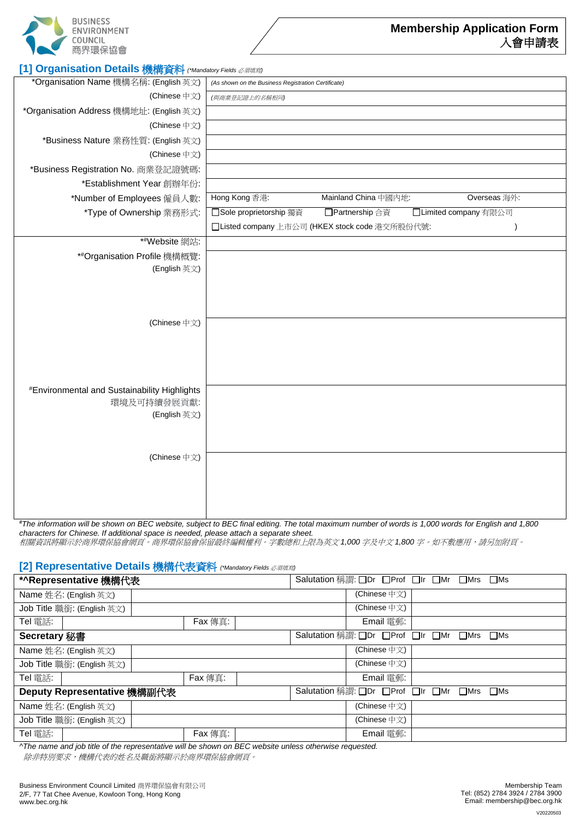

| *Organisation Name 機構名稱: (English 英文)                      | (As shown on the Business Registration Certificate)                 |
|------------------------------------------------------------|---------------------------------------------------------------------|
| (Chinese 中文)                                               | (與商業登記證上的名稱相同)                                                      |
| *Organisation Address 機構地址: (English 英文)                   |                                                                     |
| (Chinese 中文)                                               |                                                                     |
| *Business Nature 業務性質: (English 英文)                        |                                                                     |
| (Chinese 中文)                                               |                                                                     |
| *Business Registration No. 商業登記證號碼:                        |                                                                     |
| *Establishment Year 創辦年份:                                  |                                                                     |
| *Number of Employees 僱員人數:                                 | Hong Kong 香港:<br>Mainland China 中國內地:<br>Overseas 海外:               |
| *Type of Ownership 業務形式:                                   | □ Sole proprietorship 獨資<br>□Partnership合資<br>□Limited company 有限公司 |
|                                                            | □Listed company 上市公司 (HKEX stock code 港交所股份代號:<br>$\mathcal{E}$     |
| *#Website 網站:                                              |                                                                     |
| *#Organisation Profile 機構概覽:                               |                                                                     |
| (English 英文)                                               |                                                                     |
|                                                            |                                                                     |
|                                                            |                                                                     |
|                                                            |                                                                     |
| (Chinese 中文)                                               |                                                                     |
|                                                            |                                                                     |
|                                                            |                                                                     |
|                                                            |                                                                     |
| <i><b>#Environmental and Sustainability Highlights</b></i> |                                                                     |
| 環境及可持續發展貢獻:                                                |                                                                     |
| (English 英文)                                               |                                                                     |
|                                                            |                                                                     |
|                                                            |                                                                     |
| (Chinese 中文)                                               |                                                                     |
|                                                            |                                                                     |
|                                                            |                                                                     |
|                                                            |                                                                     |
|                                                            |                                                                     |

*#The information will be shown on BEC website, subject to BEC final editing. The total maximum number of words is 1,000 words for English and 1,800 characters for Chinese. If additional space is needed, please attach a separate sheet.* 

相關資訊將顯示於商界環保協會網頁。商界環保協會保留最終編輯權利。字數總和上限為英文 *1,000* 字及中文 *1,800* 字。如不敷應用,請另加附頁。

#### **[2] Representative Details** 機構代表資料 *(\*Mandatory Fields* 必須填寫*)*

| *^Representative 機構代表       |         | Salutation 稱謂: ODr OProf OIr OMr OMrs OMs                                  |
|-----------------------------|---------|----------------------------------------------------------------------------|
| Name 姓名: (English 英文)       |         | (Chinese 中文)                                                               |
| Job Title 職銜: (English 英文)  |         | (Chinese 中文)                                                               |
| Tel 電話:                     | Fax 傳真: | Email 雷郵:                                                                  |
| Secretary 秘書                |         | Salutation 稱謂: □Dr □Prof □Ir<br>$\square$ Mr<br>$\square$ Mrs<br>$\Box$ Ms |
| Name 姓名: (English 英文)       |         | (Chinese 中文)                                                               |
| Job Title 職銜: (English 英文)  |         | (Chinese 中文)                                                               |
| Tel 電話:                     | Fax 傳真: | Email 電郵:                                                                  |
| Deputy Representative 機構副代表 |         | Salutation 稱謂: □Dr □Prof □Ir<br>$\Box$ Ms<br>$\square$ Mrs<br>$\square$ Mr |
| Name 姓名: (English 英文)       |         | (Chinese 中文)                                                               |
| Job Title 職銜: (English 英文)  |         | (Chinese 中文)                                                               |
| Tel 電話:                     | Fax 傳真: | Email 電郵:                                                                  |
|                             |         |                                                                            |

*^The name and job title of the representative will be shown on BEC website unless otherwise requested.*  除非特別要求,機構代表的姓名及職銜將顯示於商界環保協會網頁。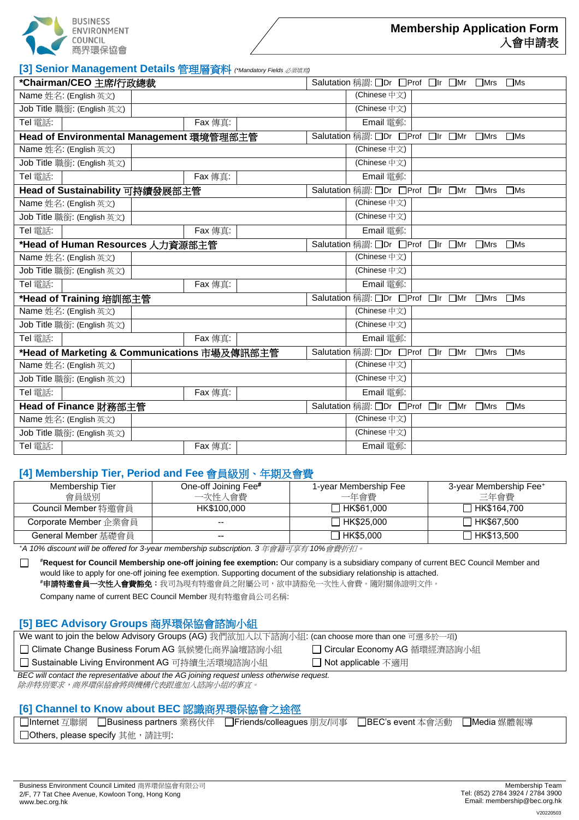

**[3] Senior Management Details** 管理層資料 *(\*Mandatory Fields* 必須填寫*)*

| *Chairman/CEO 主席/行政總裁                        |         |  | Salutation 稱謂: □Dr □Prof □Ir □Mr □Mrs |               | $\Box$ Ms    |
|----------------------------------------------|---------|--|---------------------------------------|---------------|--------------|
| Name 姓名: (English 英文)                        |         |  | (Chinese 中文)                          |               |              |
| Job Title 職銜: (English 英文)                   |         |  | (Chinese 中文)                          |               |              |
| Tel 電話:                                      | Fax 傳真: |  | Email 電郵:                             |               |              |
| Head of Environmental Management 環境管理部主管     |         |  | Salutation 稱謂: □Dr □Prof □Ir □Mr      | $\square$ Mrs | $\square$ Ms |
| Name 姓名: (English 英文)                        |         |  | (Chinese 中文)                          |               |              |
| Job Title 職銜: (English 英文)                   |         |  | (Chinese 中文)                          |               |              |
| Tel 電話:                                      | Fax 傳真: |  | Email 電郵:                             |               |              |
| Head of Sustainability 可持續發展部主管              |         |  | Salutation 稱謂: □Dr □Prof □Ir □Mr      | $\Box$ Mrs    | $\Box$ Ms    |
| Name 姓名: (English 英文)                        |         |  | (Chinese 中文)                          |               |              |
| Job Title 職銜: (English 英文)                   |         |  | (Chinese 中文)                          |               |              |
| Tel 電話:                                      | Fax 傳真: |  | Email 電郵:                             |               |              |
| *Head of Human Resources 人力資源部主管             |         |  | Salutation 稱謂: □Dr □Prof □Ir □Mr □Mrs |               | $\Box$ Ms    |
| Name 姓名: (English 英文)                        |         |  | (Chinese 中文)                          |               |              |
| Job Title 職銜: (English 英文)                   |         |  | (Chinese 中文)                          |               |              |
| Tel 電話:                                      | Fax 傳真: |  | $E$ mail 電郵:                          |               |              |
| *Head of Training 培訓部主管                      |         |  | Salutation 稱謂: ODr OProf OIr OMr      | $\square$ Mrs | $\square$ Ms |
| Name 姓名: (English 英文)                        |         |  | (Chinese 中文)                          |               |              |
| Job Title 職銜: (English 英文)                   |         |  | (Chinese 中文)                          |               |              |
| Tel 電話:                                      | Fax 傳真: |  | Email 電郵:                             |               |              |
| *Head of Marketing & Communications 市場及傳訊部主管 |         |  | Salutation 稱謂: ODr OProf OIr OMr      | $\Box$ Mrs    | $\Box$ Ms    |
| Name 姓名: (English 英文)                        |         |  | (Chinese 中文)                          |               |              |
| Job Title 職銜: (English 英文)                   |         |  | (Chinese 中文)                          |               |              |
| Tel 電話:                                      | Fax 傳真: |  | Email 電郵:                             |               |              |
| Head of Finance 財務部主管                        |         |  | Salutation 稱謂: □Dr □Prof □Ir □Mr □Mrs |               | $\Box$ Ms    |
| Name 姓名: (English 英文)                        |         |  | (Chinese 中文)                          |               |              |
| Job Title 職銜: (English 英文)                   |         |  | (Chinese 中文)                          |               |              |
| Tel 電話:                                      | Fax 傳真: |  | Email 電郵:                             |               |              |

## **[4] Membership Tier, Period and Fee** 會員級別、年期及會費

| Membership Tier<br>會員級別 | One-off Joining Fee#<br>一次性入會費 | 1-year Membership Fee<br>一年會費 | 3-year Membership Fee+<br>三年會費 |
|-------------------------|--------------------------------|-------------------------------|--------------------------------|
| Council Member 特激會員     | HK\$100,000                    | HK\$61,000                    | □ HK\$164.700                  |
| Corporate Member 企業會員   | $- -$                          | HK\$25.000                    | □ HK\$67.500                   |
| General Member 基礎會員     | $- -$                          | □ HK\$5,000                   | □ HK\$13.500                   |

*<sup>+</sup>A 10% discount will be offered for 3-year membership subscription. 3* 年會籍可享有 *10%*會費折扣。

**#Request for Council Membership one-off joining fee exemption:** Our company is a subsidiary company of current BEC Council Member and  $\Box$ would like to apply for one-off joining fee exemption. Supporting document of the subsidiary relationship is attached. **#**申請特邀會員一次性入會費豁免:我司為現有特邀會員之附屬公司,欲申請豁免一次性入會費。隨附關係證明文件。

Company name of current BEC Council Member 現有特邀會員公司名稱:

## **[5] BEC Advisory Groups** 商界環保協會諮詢小組

|  |  | We want to join the below Advisory Groups (AG) 我們欲加入以下諮詢小組: (can choose more than one 可選多於一項) |
|--|--|-----------------------------------------------------------------------------------------------|
|  |  |                                                                                               |

□ Climate Change Business Forum AG 氣候變化商界論壇諮詢小組 □ Circular Economy AG 循環經濟諮詢小組

□ Sustainable Living Environment AG 可持續生活環境諮詢小組 □ Not applicable 不適用

*BEC will contact the representative about the AG joining request unless otherwise request.* 

除非特別要求,商界環保協會將與機構代表跟進加入諮詢小組的事宜。

## **[6] Channel to Know about BEC** 認識商界環保協會之途徑

| □Internet 互聯網 □Business partners 業務伙伴 □Friends/colleagues 朋友/同事 □BEC's event 本會活動 □Media 媒體報導 |  |  |
|-----------------------------------------------------------------------------------------------|--|--|
| □ Others, please specify 其他, 請註明:                                                             |  |  |